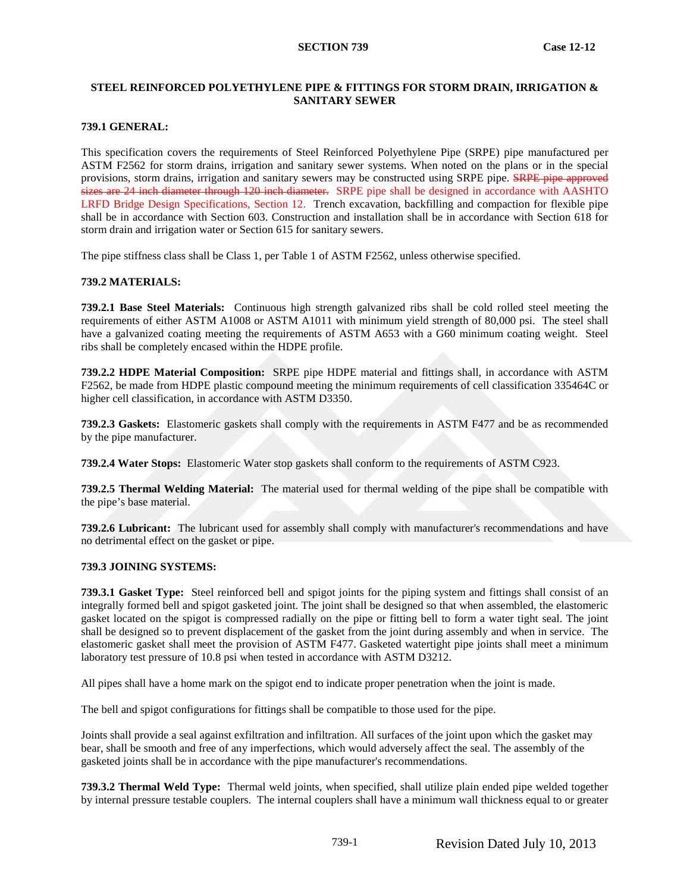# **STEEL REINFORCED POLYETHYLENE PIPE & FITTINGS FOR STORM DRAIN, IRRIGATION & SANITARY SEWER**

## **739.1 GENERAL:**

This specification covers the requirements of Steel Reinforced Polyethylene Pipe (SRPE) pipe manufactured per ASTM F2562 for storm drains, irrigation and sanitary sewer systems. When noted on the plans or in the special provisions, storm drains, irrigation and sanitary sewers may be constructed using SRPE pipe. SRPE pipe approved sizes are 24 inch diameter through 120 inch diameter. SRPE pipe shall be designed in accordance with AASHTO LRFD Bridge Design Specifications, Section 12. Trench excavation, backfilling and compaction for flexible pipe shall be in accordance with Section 603. Construction and installation shall be in accordance with Section 618 for storm drain and irrigation water or Section 615 for sanitary sewers.

The pipe stiffness class shall be Class 1, per Table 1 of ASTM F2562, unless otherwise specified.

# **739.2 MATERIALS:**

**739.2.1 Base Steel Materials:** Continuous high strength galvanized ribs shall be cold rolled steel meeting the requirements of either ASTM A1008 or ASTM A1011 with minimum yield strength of 80,000 psi. The steel shall have a galvanized coating meeting the requirements of ASTM A653 with a G60 minimum coating weight. Steel ribs shall be completely encased within the HDPE profile.

**739.2.2 HDPE Material Composition:** SRPE pipe HDPE material and fittings shall, in accordance with ASTM F2562, be made from HDPE plastic compound meeting the minimum requirements of cell classification 335464C or higher cell classification, in accordance with ASTM D3350.

**739.2.3 Gaskets:** Elastomeric gaskets shall comply with the requirements in ASTM F477 and be as recommended by the pipe manufacturer.

**739.2.4 Water Stops:** Elastomeric Water stop gaskets shall conform to the requirements of ASTM C923.

**739.2.5 Thermal Welding Material:** The material used for thermal welding of the pipe shall be compatible with the pipe's base material.

**739.2.6 Lubricant:** The lubricant used for assembly shall comply with manufacturer's recommendations and have no detrimental effect on the gasket or pipe.

#### <span id="page-0-0"></span>**739.3 JOINING SYSTEMS:**

**739.3.1 Gasket Type:** Steel reinforced bell and spigot joints for the piping system and fittings shall consist of an integrally formed bell and spigot gasketed joint. The joint shall be designed so that when assembled, the elastomeric gasket located on the spigot is compressed radially on the pipe or fitting bell to form a water tight seal. The joint shall be designed so to prevent displacement of the gasket from the joint during assembly and when in service. The elastomeric gasket shall meet the provision of ASTM F477. Gasketed watertight pipe joints shall meet a minimum laboratory test pressure of 10.8 psi when tested in accordance with ASTM D3212.

All pipes shall have a home mark on the spigot end to indicate proper penetration when the joint is made.

The bell and spigot configurations for fittings shall be compatible to those used for the pipe.

Joints shall provide a seal against exfiltration and infiltration. All surfaces of the joint upon which the gasket may bear, shall be smooth and free of any imperfections, which would adversely affect the seal. The assembly of the gasketed joints shall be in accordance with the pipe manufacturer's recommendations.

**739.3.2 Thermal Weld Type:** Thermal weld joints, when specified, shall utilize plain ended pipe welded together by internal pressure testable couplers. The internal couplers shall have a minimum wall thickness equal to or greater